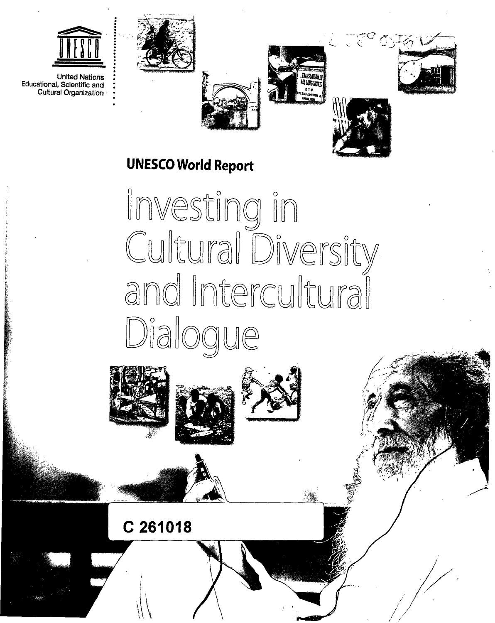

**United Nations** Educational, Scientific and Cultural Organization









**UNESCO World Report** 

Investing in<br>Cultural Diversity and Intercultural Dialogue







C 261018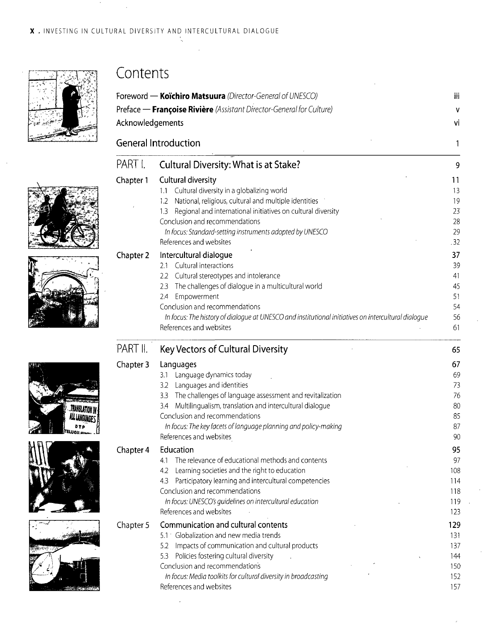

## Contents

| ٧                                                                                                         |
|-----------------------------------------------------------------------------------------------------------|
| ٧i                                                                                                        |
| 1                                                                                                         |
| 9<br>11                                                                                                   |
| 13<br>19                                                                                                  |
|                                                                                                           |
|                                                                                                           |
| 23<br>28                                                                                                  |
| 29<br>.32                                                                                                 |
|                                                                                                           |
|                                                                                                           |
|                                                                                                           |
| 37                                                                                                        |
| 39<br>41                                                                                                  |
| 45                                                                                                        |
| 51                                                                                                        |
| 54                                                                                                        |
| In focus: The history of dialogue at UNESCO and institutional initiatives on intercultural dialogue<br>56 |
| 61                                                                                                        |
| 65                                                                                                        |
| 67                                                                                                        |
| 69                                                                                                        |
| 73                                                                                                        |
| 76                                                                                                        |
| 80<br>85                                                                                                  |
| 87                                                                                                        |
| 90                                                                                                        |
| 95                                                                                                        |
| 97                                                                                                        |
| 108                                                                                                       |
| 114                                                                                                       |
| 118                                                                                                       |
| 119                                                                                                       |
| 123                                                                                                       |
| 129                                                                                                       |
| 131                                                                                                       |
| 137                                                                                                       |
| 144                                                                                                       |
| 150                                                                                                       |
| 152                                                                                                       |
|                                                                                                           |